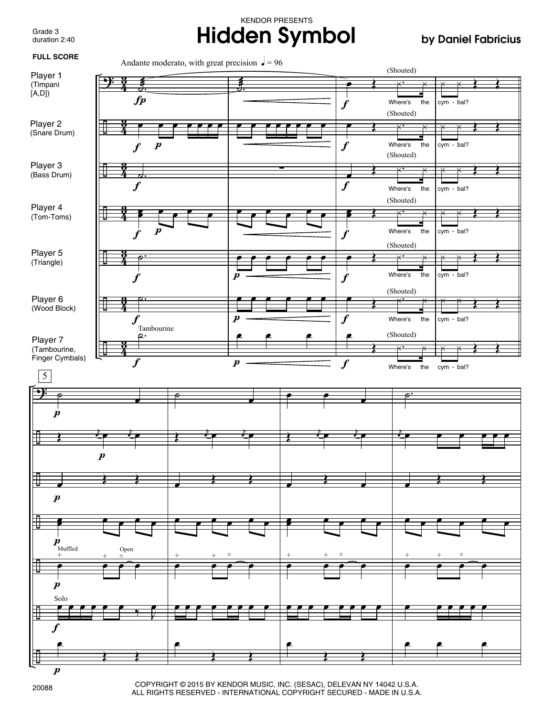Grade 3 duration 2:40

## KENDOR PRESENTS **Hidden Symbol by Daniel Fabricius**



COPYRIGHT © 2015 BY KENDOR MUSIC, INC. (SESAC), DELEVAN NY 14042 U.S.A. ALL RIGHTS RESERVED - INTERNATIONAL COPYRIGHT SECURED - MADE IN U.S.A.